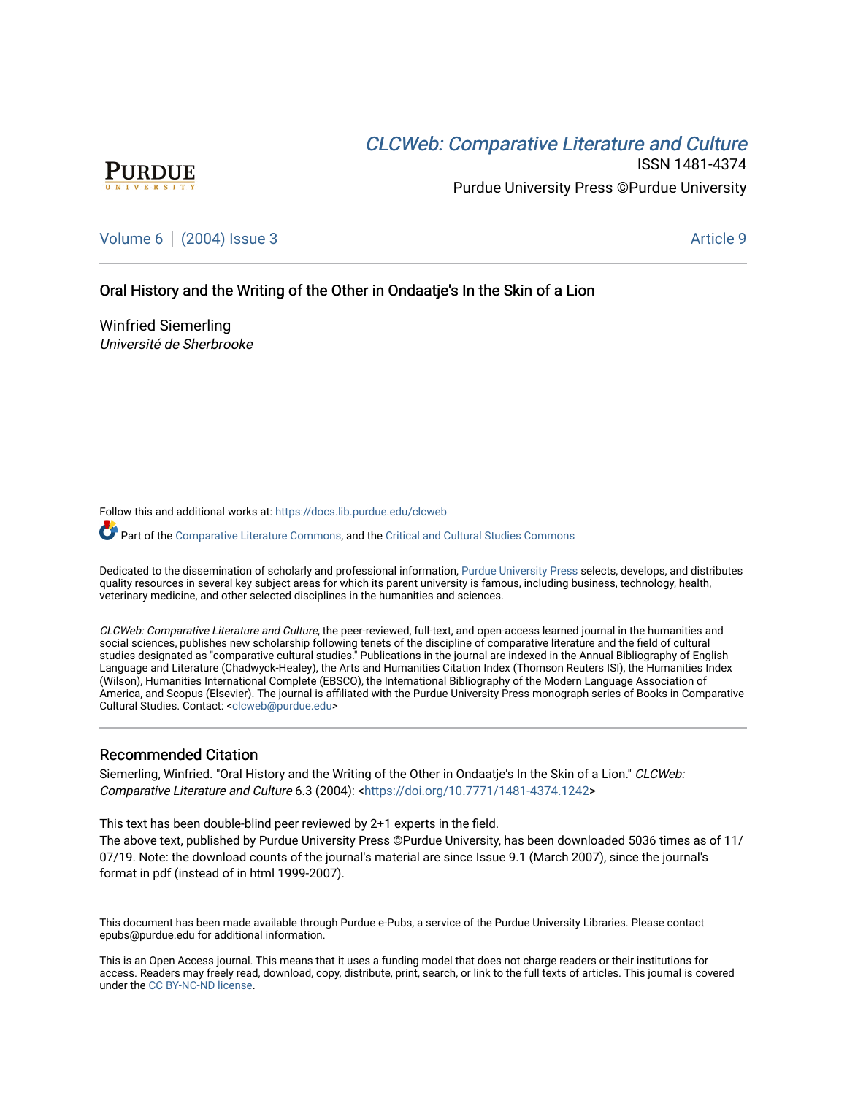# CLCW[eb: Comparative Liter](https://docs.lib.purdue.edu/clcweb)ature and Culture



ISSN 1481-4374 Purdue University Press ©Purdue University

[Volume 6](https://docs.lib.purdue.edu/clcweb/vol6) | [\(2004\) Issue 3](https://docs.lib.purdue.edu/clcweb/vol6/iss3) Article 9

## Oral History and the Writing of the Other in Ondaatie's In the Skin of a Lion

Winfried Siemerling Université de Sherbrooke

Follow this and additional works at: [https://docs.lib.purdue.edu/clcweb](https://docs.lib.purdue.edu/clcweb?utm_source=docs.lib.purdue.edu%2Fclcweb%2Fvol6%2Fiss3%2F9&utm_medium=PDF&utm_campaign=PDFCoverPages)

Part of the [Comparative Literature Commons,](http://network.bepress.com/hgg/discipline/454?utm_source=docs.lib.purdue.edu%2Fclcweb%2Fvol6%2Fiss3%2F9&utm_medium=PDF&utm_campaign=PDFCoverPages) and the Critical and Cultural Studies Commons

Dedicated to the dissemination of scholarly and professional information, [Purdue University Press](http://www.thepress.purdue.edu/) selects, develops, and distributes quality resources in several key subject areas for which its parent university is famous, including business, technology, health, veterinary medicine, and other selected disciplines in the humanities and sciences.

CLCWeb: Comparative Literature and Culture, the peer-reviewed, full-text, and open-access learned journal in the humanities and social sciences, publishes new scholarship following tenets of the discipline of comparative literature and the field of cultural studies designated as "comparative cultural studies." Publications in the journal are indexed in the Annual Bibliography of English Language and Literature (Chadwyck-Healey), the Arts and Humanities Citation Index (Thomson Reuters ISI), the Humanities Index (Wilson), Humanities International Complete (EBSCO), the International Bibliography of the Modern Language Association of America, and Scopus (Elsevier). The journal is affiliated with the Purdue University Press monograph series of Books in Comparative Cultural Studies. Contact: [<clcweb@purdue.edu](mailto:clcweb@purdue.edu)>

### Recommended Citation

Siemerling, Winfried. "Oral History and the Writing of the Other in Ondaatje's In the Skin of a Lion." CLCWeb: Comparative Literature and Culture 6.3 (2004): <<https://doi.org/10.7771/1481-4374.1242>>

This text has been double-blind peer reviewed by 2+1 experts in the field.

The above text, published by Purdue University Press ©Purdue University, has been downloaded 5036 times as of 11/ 07/19. Note: the download counts of the journal's material are since Issue 9.1 (March 2007), since the journal's format in pdf (instead of in html 1999-2007).

This document has been made available through Purdue e-Pubs, a service of the Purdue University Libraries. Please contact epubs@purdue.edu for additional information.

This is an Open Access journal. This means that it uses a funding model that does not charge readers or their institutions for access. Readers may freely read, download, copy, distribute, print, search, or link to the full texts of articles. This journal is covered under the [CC BY-NC-ND license.](https://creativecommons.org/licenses/by-nc-nd/4.0/)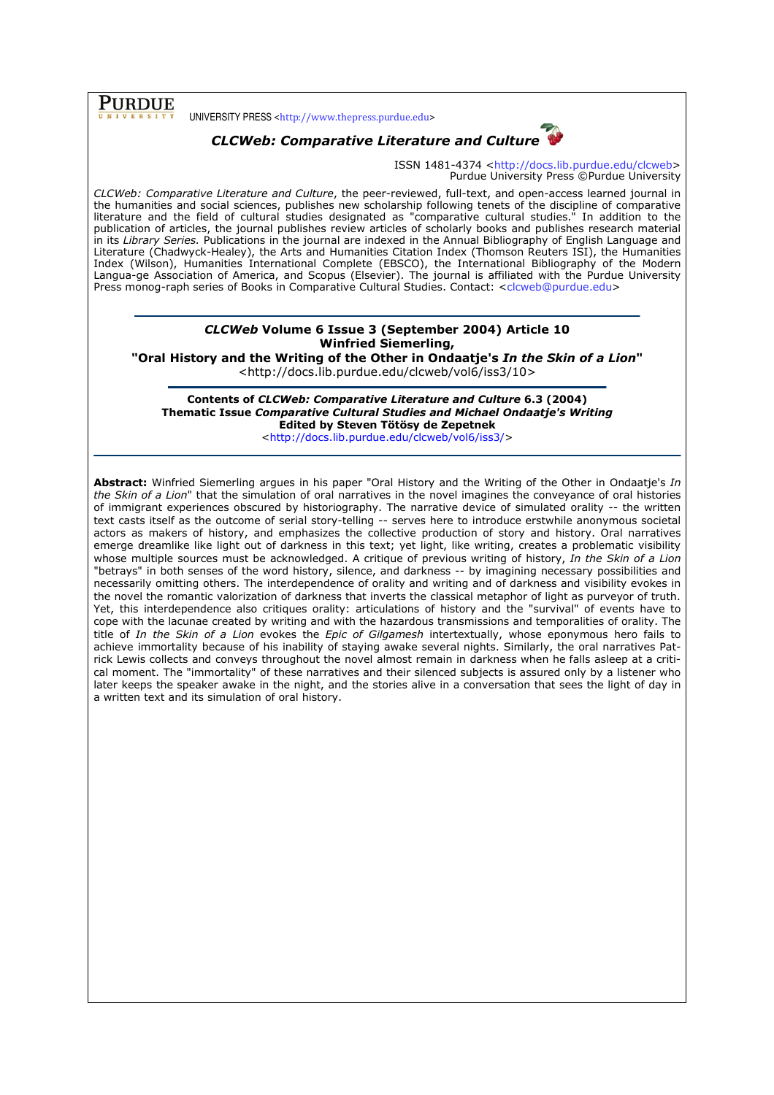## PURDUE

UNIVERSITY PRESS <http://www.thepress.purdue.edu>



ISSN 1481-4374 <http://docs.lib.purdue.edu/clcweb> Purdue University Press ©Purdue University

CLCWeb: Comparative Literature and Culture, the peer-reviewed, full-text, and open-access learned journal in the humanities and social sciences, publishes new scholarship following tenets of the discipline of comparative literature and the field of cultural studies designated as "comparative cultural studies." In addition to the publication of articles, the journal publishes review articles of scholarly books and publishes research material in its Library Series. Publications in the journal are indexed in the Annual Bibliography of English Language and Literature (Chadwyck-Healey), the Arts and Humanities Citation Index (Thomson Reuters ISI), the Humanities Index (Wilson), Humanities International Complete (EBSCO), the International Bibliography of the Modern Langua-ge Association of America, and Scopus (Elsevier). The journal is affiliated with the Purdue University Press monog-raph series of Books in Comparative Cultural Studies. Contact: <clcweb@purdue.edu>

## CLCWeb Volume 6 Issue 3 (September 2004) Article 10 Winfried Siemerling,

"Oral History and the Writing of the Other in Ondaatie's In the Skin of a Lion" <http://docs.lib.purdue.edu/clcweb/vol6/iss3/10>

Contents of CLCWeb: Comparative Literature and Culture 6.3 (2004) Thematic Issue Comparative Cultural Studies and Michael Ondaatje's Writing Edited by Steven Tötösy de Zepetnek

<http://docs.lib.purdue.edu/clcweb/vol6/iss3/>

Abstract: Winfried Siemerling argues in his paper "Oral History and the Writing of the Other in Ondaatje's In the Skin of a Lion" that the simulation of oral narratives in the novel imagines the conveyance of oral histories of immigrant experiences obscured by historiography. The narrative device of simulated orality -- the written text casts itself as the outcome of serial story-telling -- serves here to introduce erstwhile anonymous societal actors as makers of history, and emphasizes the collective production of story and history. Oral narratives emerge dreamlike like light out of darkness in this text; yet light, like writing, creates a problematic visibility whose multiple sources must be acknowledged. A critique of previous writing of history, In the Skin of a Lion "betrays" in both senses of the word history, silence, and darkness -- by imagining necessary possibilities and necessarily omitting others. The interdependence of orality and writing and of darkness and visibility evokes in the novel the romantic valorization of darkness that inverts the classical metaphor of light as purveyor of truth. Yet, this interdependence also critiques orality: articulations of history and the "survival" of events have to cope with the lacunae created by writing and with the hazardous transmissions and temporalities of orality. The title of In the Skin of a Lion evokes the Epic of Gilgamesh intertextually, whose eponymous hero fails to achieve immortality because of his inability of staying awake several nights. Similarly, the oral narratives Patrick Lewis collects and conveys throughout the novel almost remain in darkness when he falls asleep at a critical moment. The "immortality" of these narratives and their silenced subjects is assured only by a listener who later keeps the speaker awake in the night, and the stories alive in a conversation that sees the light of day in a written text and its simulation of oral history.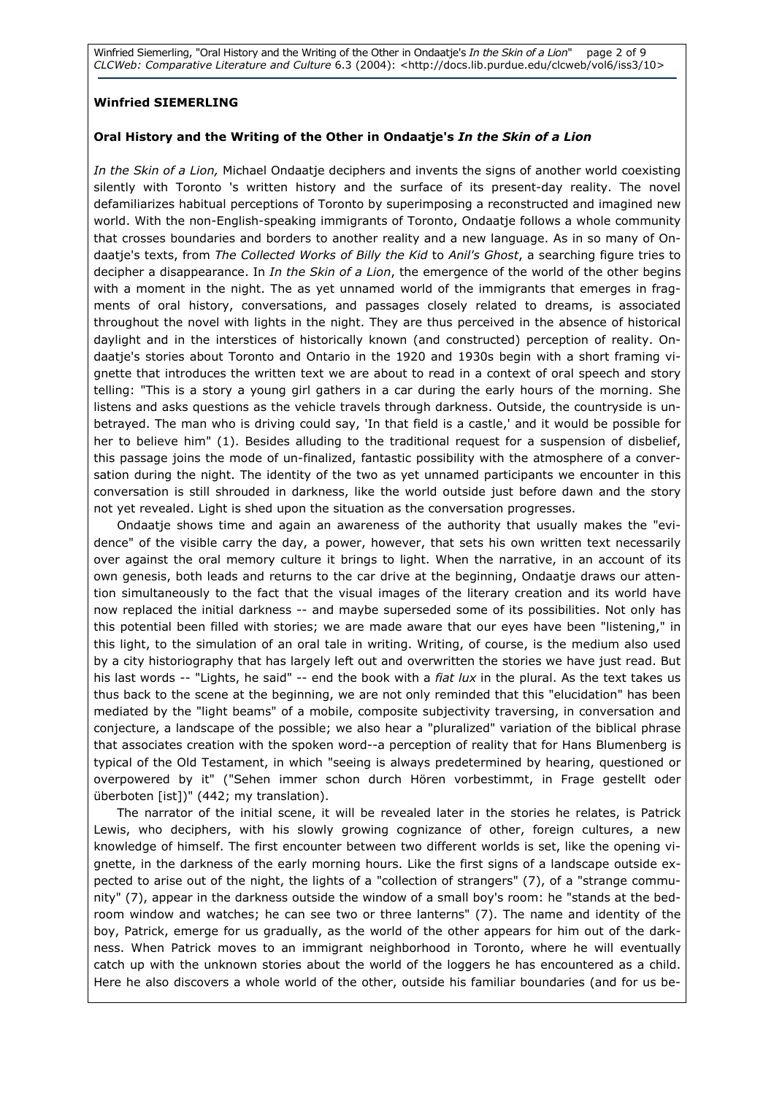Winfried Siemerling, "Oral History and the Writing of the Other in Ondaatje's In the Skin of a Lion" page 2 of 9 CLCWeb: Comparative Literature and Culture 6.3 (2004): <http://docs.lib.purdue.edu/clcweb/vol6/iss3/10>

### Winfried SIEMERLING

### Oral History and the Writing of the Other in Ondaatje's In the Skin of a Lion

In the Skin of a Lion, Michael Ondaatje deciphers and invents the signs of another world coexisting silently with Toronto 's written history and the surface of its present-day reality. The novel defamiliarizes habitual perceptions of Toronto by superimposing a reconstructed and imagined new world. With the non-English-speaking immigrants of Toronto, Ondaatje follows a whole community that crosses boundaries and borders to another reality and a new language. As in so many of Ondaatje's texts, from The Collected Works of Billy the Kid to Anil's Ghost, a searching figure tries to decipher a disappearance. In In the Skin of a Lion, the emergence of the world of the other begins with a moment in the night. The as yet unnamed world of the immigrants that emerges in fragments of oral history, conversations, and passages closely related to dreams, is associated throughout the novel with lights in the night. They are thus perceived in the absence of historical daylight and in the interstices of historically known (and constructed) perception of reality. Ondaatje's stories about Toronto and Ontario in the 1920 and 1930s begin with a short framing vignette that introduces the written text we are about to read in a context of oral speech and story telling: "This is a story a young girl gathers in a car during the early hours of the morning. She listens and asks questions as the vehicle travels through darkness. Outside, the countryside is unbetrayed. The man who is driving could say, 'In that field is a castle,' and it would be possible for her to believe him" (1). Besides alluding to the traditional request for a suspension of disbelief, this passage joins the mode of un-finalized, fantastic possibility with the atmosphere of a conversation during the night. The identity of the two as yet unnamed participants we encounter in this conversation is still shrouded in darkness, like the world outside just before dawn and the story not yet revealed. Light is shed upon the situation as the conversation progresses.

Ondaatje shows time and again an awareness of the authority that usually makes the "evidence" of the visible carry the day, a power, however, that sets his own written text necessarily over against the oral memory culture it brings to light. When the narrative, in an account of its own genesis, both leads and returns to the car drive at the beginning, Ondaatje draws our attention simultaneously to the fact that the visual images of the literary creation and its world have now replaced the initial darkness -- and maybe superseded some of its possibilities. Not only has this potential been filled with stories; we are made aware that our eyes have been "listening," in this light, to the simulation of an oral tale in writing. Writing, of course, is the medium also used by a city historiography that has largely left out and overwritten the stories we have just read. But his last words -- "Lights, he said" -- end the book with a fiat lux in the plural. As the text takes us thus back to the scene at the beginning, we are not only reminded that this "elucidation" has been mediated by the "light beams" of a mobile, composite subjectivity traversing, in conversation and conjecture, a landscape of the possible; we also hear a "pluralized" variation of the biblical phrase that associates creation with the spoken word--a perception of reality that for Hans Blumenberg is typical of the Old Testament, in which "seeing is always predetermined by hearing, questioned or overpowered by it" ("Sehen immer schon durch Hören vorbestimmt, in Frage gestellt oder überboten [ist])" (442; my translation).

The narrator of the initial scene, it will be revealed later in the stories he relates, is Patrick Lewis, who deciphers, with his slowly growing cognizance of other, foreign cultures, a new knowledge of himself. The first encounter between two different worlds is set, like the opening vignette, in the darkness of the early morning hours. Like the first signs of a landscape outside expected to arise out of the night, the lights of a "collection of strangers" (7), of a "strange community" (7), appear in the darkness outside the window of a small boy's room: he "stands at the bedroom window and watches; he can see two or three lanterns" (7). The name and identity of the boy, Patrick, emerge for us gradually, as the world of the other appears for him out of the darkness. When Patrick moves to an immigrant neighborhood in Toronto, where he will eventually catch up with the unknown stories about the world of the loggers he has encountered as a child. Here he also discovers a whole world of the other, outside his familiar boundaries (and for us be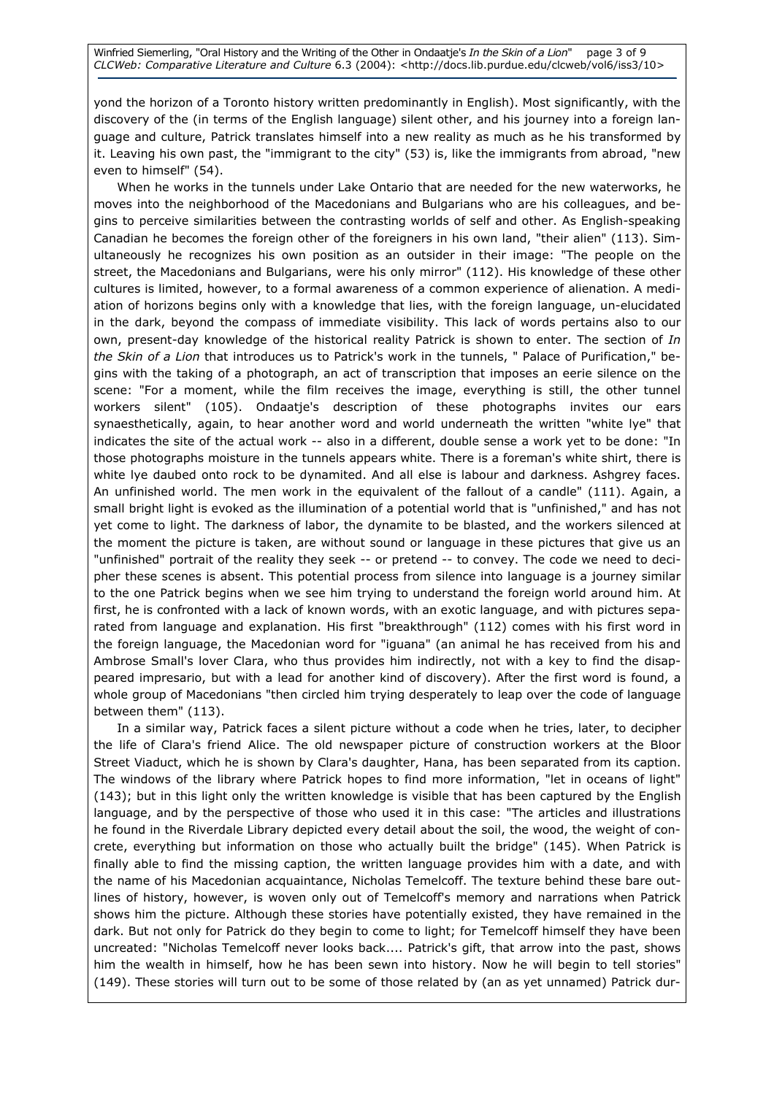Winfried Siemerling, "Oral History and the Writing of the Other in Ondaatje's In the Skin of a Lion" page 3 of 9 CLCWeb: Comparative Literature and Culture 6.3 (2004): <http://docs.lib.purdue.edu/clcweb/vol6/iss3/10>

yond the horizon of a Toronto history written predominantly in English). Most significantly, with the discovery of the (in terms of the English language) silent other, and his journey into a foreign language and culture, Patrick translates himself into a new reality as much as he his transformed by it. Leaving his own past, the "immigrant to the city" (53) is, like the immigrants from abroad, "new even to himself" (54).

When he works in the tunnels under Lake Ontario that are needed for the new waterworks, he moves into the neighborhood of the Macedonians and Bulgarians who are his colleagues, and begins to perceive similarities between the contrasting worlds of self and other. As English-speaking Canadian he becomes the foreign other of the foreigners in his own land, "their alien" (113). Simultaneously he recognizes his own position as an outsider in their image: "The people on the street, the Macedonians and Bulgarians, were his only mirror" (112). His knowledge of these other cultures is limited, however, to a formal awareness of a common experience of alienation. A mediation of horizons begins only with a knowledge that lies, with the foreign language, un-elucidated in the dark, beyond the compass of immediate visibility. This lack of words pertains also to our own, present-day knowledge of the historical reality Patrick is shown to enter. The section of In the Skin of a Lion that introduces us to Patrick's work in the tunnels, " Palace of Purification," begins with the taking of a photograph, an act of transcription that imposes an eerie silence on the scene: "For a moment, while the film receives the image, everything is still, the other tunnel workers silent" (105). Ondaatje's description of these photographs invites our ears synaesthetically, again, to hear another word and world underneath the written "white lye" that indicates the site of the actual work -- also in a different, double sense a work yet to be done: "In those photographs moisture in the tunnels appears white. There is a foreman's white shirt, there is white lye daubed onto rock to be dynamited. And all else is labour and darkness. Ashgrey faces. An unfinished world. The men work in the equivalent of the fallout of a candle" (111). Again, a small bright light is evoked as the illumination of a potential world that is "unfinished," and has not yet come to light. The darkness of labor, the dynamite to be blasted, and the workers silenced at the moment the picture is taken, are without sound or language in these pictures that give us an "unfinished" portrait of the reality they seek -- or pretend -- to convey. The code we need to decipher these scenes is absent. This potential process from silence into language is a journey similar to the one Patrick begins when we see him trying to understand the foreign world around him. At first, he is confronted with a lack of known words, with an exotic language, and with pictures separated from language and explanation. His first "breakthrough" (112) comes with his first word in the foreign language, the Macedonian word for "iguana" (an animal he has received from his and Ambrose Small's lover Clara, who thus provides him indirectly, not with a key to find the disappeared impresario, but with a lead for another kind of discovery). After the first word is found, a whole group of Macedonians "then circled him trying desperately to leap over the code of language between them" (113).

In a similar way, Patrick faces a silent picture without a code when he tries, later, to decipher the life of Clara's friend Alice. The old newspaper picture of construction workers at the Bloor Street Viaduct, which he is shown by Clara's daughter, Hana, has been separated from its caption. The windows of the library where Patrick hopes to find more information, "let in oceans of light" (143); but in this light only the written knowledge is visible that has been captured by the English language, and by the perspective of those who used it in this case: "The articles and illustrations he found in the Riverdale Library depicted every detail about the soil, the wood, the weight of concrete, everything but information on those who actually built the bridge" (145). When Patrick is finally able to find the missing caption, the written language provides him with a date, and with the name of his Macedonian acquaintance, Nicholas Temelcoff. The texture behind these bare outlines of history, however, is woven only out of Temelcoff's memory and narrations when Patrick shows him the picture. Although these stories have potentially existed, they have remained in the dark. But not only for Patrick do they begin to come to light; for Temelcoff himself they have been uncreated: "Nicholas Temelcoff never looks back.... Patrick's gift, that arrow into the past, shows him the wealth in himself, how he has been sewn into history. Now he will begin to tell stories" (149). These stories will turn out to be some of those related by (an as yet unnamed) Patrick dur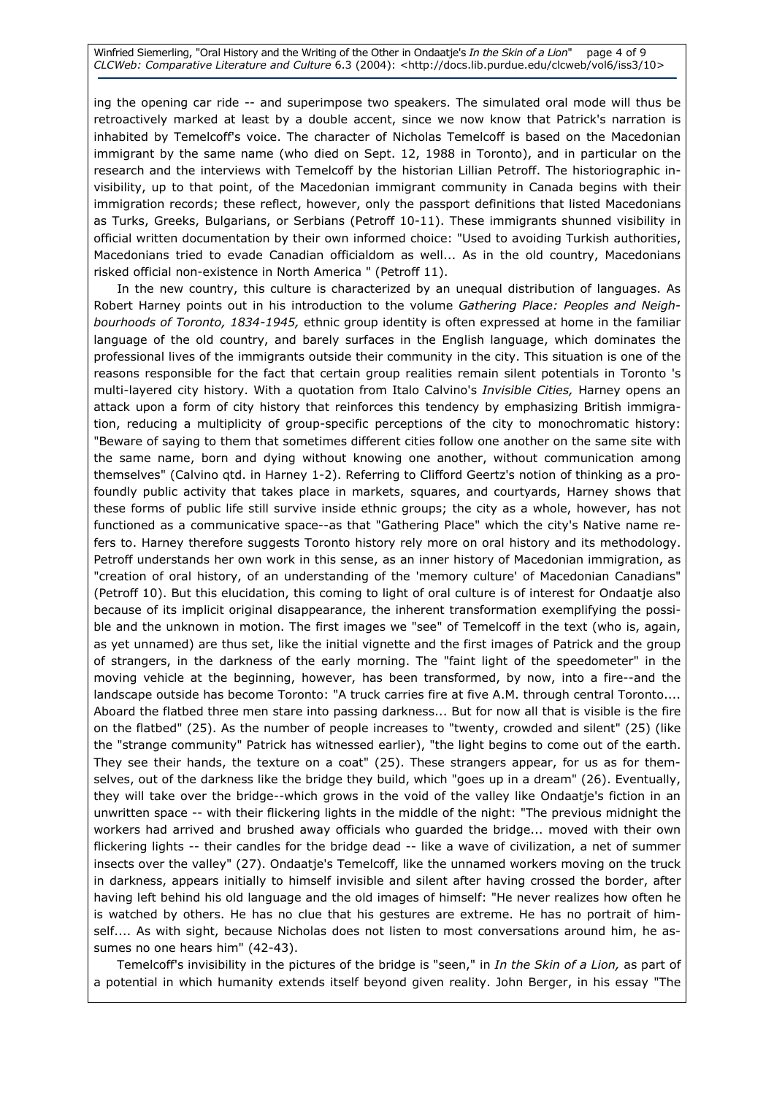Winfried Siemerling, "Oral History and the Writing of the Other in Ondaatje's In the Skin of a Lion" page 4 of 9 CLCWeb: Comparative Literature and Culture 6.3 (2004): <http://docs.lib.purdue.edu/clcweb/vol6/iss3/10>

ing the opening car ride -- and superimpose two speakers. The simulated oral mode will thus be retroactively marked at least by a double accent, since we now know that Patrick's narration is inhabited by Temelcoff's voice. The character of Nicholas Temelcoff is based on the Macedonian immigrant by the same name (who died on Sept. 12, 1988 in Toronto), and in particular on the research and the interviews with Temelcoff by the historian Lillian Petroff. The historiographic invisibility, up to that point, of the Macedonian immigrant community in Canada begins with their immigration records; these reflect, however, only the passport definitions that listed Macedonians as Turks, Greeks, Bulgarians, or Serbians (Petroff 10-11). These immigrants shunned visibility in official written documentation by their own informed choice: "Used to avoiding Turkish authorities, Macedonians tried to evade Canadian officialdom as well... As in the old country, Macedonians risked official non-existence in North America " (Petroff 11).

In the new country, this culture is characterized by an unequal distribution of languages. As Robert Harney points out in his introduction to the volume Gathering Place: Peoples and Neighbourhoods of Toronto, 1834-1945, ethnic group identity is often expressed at home in the familiar language of the old country, and barely surfaces in the English language, which dominates the professional lives of the immigrants outside their community in the city. This situation is one of the reasons responsible for the fact that certain group realities remain silent potentials in Toronto 's multi-layered city history. With a quotation from Italo Calvino's Invisible Cities, Harney opens an attack upon a form of city history that reinforces this tendency by emphasizing British immigration, reducing a multiplicity of group-specific perceptions of the city to monochromatic history: "Beware of saying to them that sometimes different cities follow one another on the same site with the same name, born and dying without knowing one another, without communication among themselves" (Calvino qtd. in Harney 1-2). Referring to Clifford Geertz's notion of thinking as a profoundly public activity that takes place in markets, squares, and courtyards, Harney shows that these forms of public life still survive inside ethnic groups; the city as a whole, however, has not functioned as a communicative space--as that "Gathering Place" which the city's Native name refers to. Harney therefore suggests Toronto history rely more on oral history and its methodology. Petroff understands her own work in this sense, as an inner history of Macedonian immigration, as "creation of oral history, of an understanding of the 'memory culture' of Macedonian Canadians" (Petroff 10). But this elucidation, this coming to light of oral culture is of interest for Ondaatje also because of its implicit original disappearance, the inherent transformation exemplifying the possible and the unknown in motion. The first images we "see" of Temelcoff in the text (who is, again, as yet unnamed) are thus set, like the initial vignette and the first images of Patrick and the group of strangers, in the darkness of the early morning. The "faint light of the speedometer" in the moving vehicle at the beginning, however, has been transformed, by now, into a fire--and the landscape outside has become Toronto: "A truck carries fire at five A.M. through central Toronto.... Aboard the flatbed three men stare into passing darkness... But for now all that is visible is the fire on the flatbed" (25). As the number of people increases to "twenty, crowded and silent" (25) (like the "strange community" Patrick has witnessed earlier), "the light begins to come out of the earth. They see their hands, the texture on a coat" (25). These strangers appear, for us as for themselves, out of the darkness like the bridge they build, which "goes up in a dream" (26). Eventually, they will take over the bridge--which grows in the void of the valley like Ondaatje's fiction in an unwritten space -- with their flickering lights in the middle of the night: "The previous midnight the workers had arrived and brushed away officials who guarded the bridge... moved with their own flickering lights -- their candles for the bridge dead -- like a wave of civilization, a net of summer insects over the valley" (27). Ondaatje's Temelcoff, like the unnamed workers moving on the truck in darkness, appears initially to himself invisible and silent after having crossed the border, after having left behind his old language and the old images of himself: "He never realizes how often he is watched by others. He has no clue that his gestures are extreme. He has no portrait of himself.... As with sight, because Nicholas does not listen to most conversations around him, he assumes no one hears him" (42-43).

Temelcoff's invisibility in the pictures of the bridge is "seen," in In the Skin of a Lion, as part of a potential in which humanity extends itself beyond given reality. John Berger, in his essay "The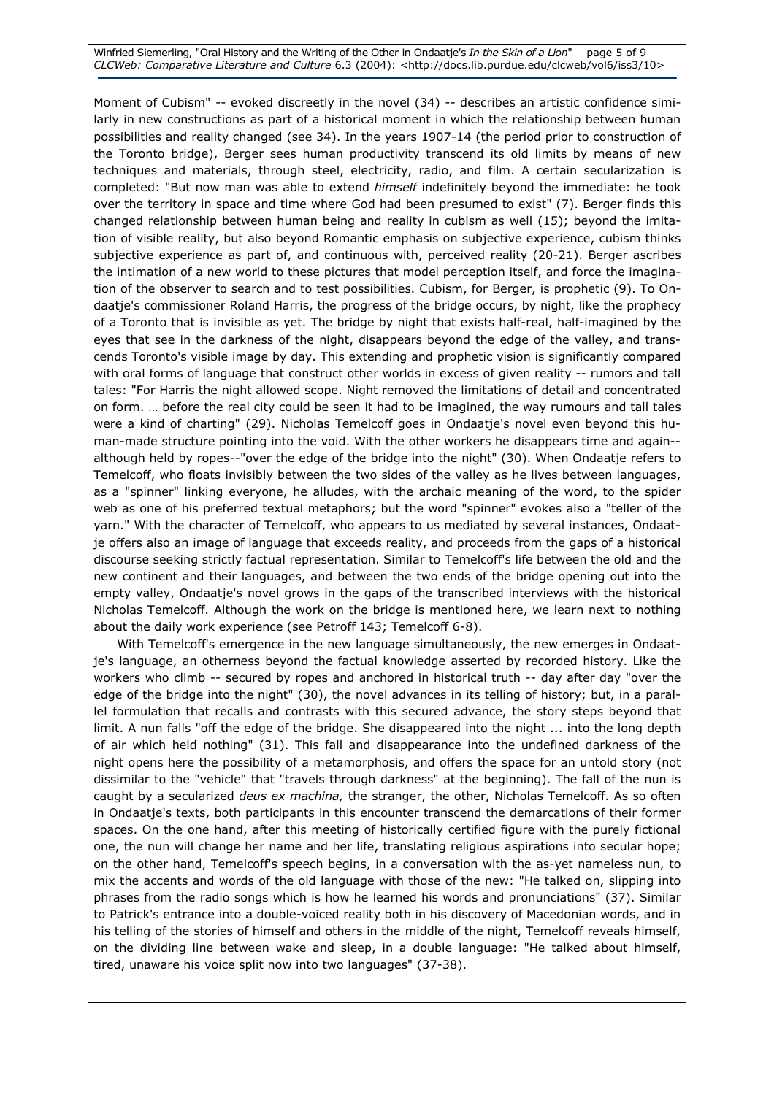Winfried Siemerling, "Oral History and the Writing of the Other in Ondaatje's In the Skin of a Lion" page 5 of 9 CLCWeb: Comparative Literature and Culture 6.3 (2004): <http://docs.lib.purdue.edu/clcweb/vol6/iss3/10>

Moment of Cubism" -- evoked discreetly in the novel (34) -- describes an artistic confidence similarly in new constructions as part of a historical moment in which the relationship between human possibilities and reality changed (see 34). In the years 1907-14 (the period prior to construction of the Toronto bridge), Berger sees human productivity transcend its old limits by means of new techniques and materials, through steel, electricity, radio, and film. A certain secularization is completed: "But now man was able to extend himself indefinitely beyond the immediate: he took over the territory in space and time where God had been presumed to exist" (7). Berger finds this changed relationship between human being and reality in cubism as well (15); beyond the imitation of visible reality, but also beyond Romantic emphasis on subjective experience, cubism thinks subjective experience as part of, and continuous with, perceived reality (20-21). Berger ascribes the intimation of a new world to these pictures that model perception itself, and force the imagination of the observer to search and to test possibilities. Cubism, for Berger, is prophetic (9). To Ondaatje's commissioner Roland Harris, the progress of the bridge occurs, by night, like the prophecy of a Toronto that is invisible as yet. The bridge by night that exists half-real, half-imagined by the eyes that see in the darkness of the night, disappears beyond the edge of the valley, and transcends Toronto's visible image by day. This extending and prophetic vision is significantly compared with oral forms of language that construct other worlds in excess of given reality -- rumors and tall tales: "For Harris the night allowed scope. Night removed the limitations of detail and concentrated on form. … before the real city could be seen it had to be imagined, the way rumours and tall tales were a kind of charting" (29). Nicholas Temelcoff goes in Ondaatje's novel even beyond this human-made structure pointing into the void. With the other workers he disappears time and again- although held by ropes--"over the edge of the bridge into the night" (30). When Ondaatje refers to Temelcoff, who floats invisibly between the two sides of the valley as he lives between languages, as a "spinner" linking everyone, he alludes, with the archaic meaning of the word, to the spider web as one of his preferred textual metaphors; but the word "spinner" evokes also a "teller of the yarn." With the character of Temelcoff, who appears to us mediated by several instances, Ondaatje offers also an image of language that exceeds reality, and proceeds from the gaps of a historical discourse seeking strictly factual representation. Similar to Temelcoff's life between the old and the new continent and their languages, and between the two ends of the bridge opening out into the empty valley, Ondaatje's novel grows in the gaps of the transcribed interviews with the historical Nicholas Temelcoff. Although the work on the bridge is mentioned here, we learn next to nothing about the daily work experience (see Petroff 143; Temelcoff 6-8).

With Temelcoff's emergence in the new language simultaneously, the new emerges in Ondaatje's language, an otherness beyond the factual knowledge asserted by recorded history. Like the workers who climb -- secured by ropes and anchored in historical truth -- day after day "over the edge of the bridge into the night" (30), the novel advances in its telling of history; but, in a parallel formulation that recalls and contrasts with this secured advance, the story steps beyond that limit. A nun falls "off the edge of the bridge. She disappeared into the night ... into the long depth of air which held nothing" (31). This fall and disappearance into the undefined darkness of the night opens here the possibility of a metamorphosis, and offers the space for an untold story (not dissimilar to the "vehicle" that "travels through darkness" at the beginning). The fall of the nun is caught by a secularized *deus ex machina*, the stranger, the other, Nicholas Temelcoff. As so often in Ondaatje's texts, both participants in this encounter transcend the demarcations of their former spaces. On the one hand, after this meeting of historically certified figure with the purely fictional one, the nun will change her name and her life, translating religious aspirations into secular hope; on the other hand, Temelcoff's speech begins, in a conversation with the as-yet nameless nun, to mix the accents and words of the old language with those of the new: "He talked on, slipping into phrases from the radio songs which is how he learned his words and pronunciations" (37). Similar to Patrick's entrance into a double-voiced reality both in his discovery of Macedonian words, and in his telling of the stories of himself and others in the middle of the night, Temelcoff reveals himself, on the dividing line between wake and sleep, in a double language: "He talked about himself, tired, unaware his voice split now into two languages" (37-38).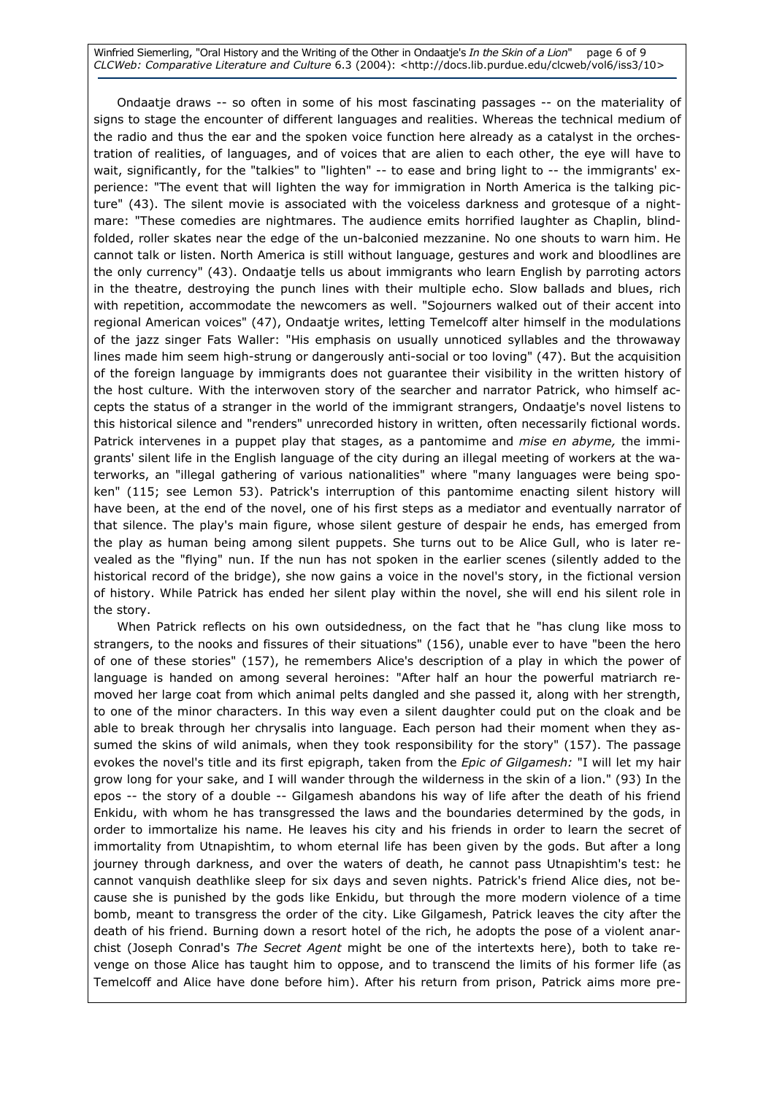Winfried Siemerling, "Oral History and the Writing of the Other in Ondaatje's In the Skin of a Lion" page 6 of 9 CLCWeb: Comparative Literature and Culture 6.3 (2004): <http://docs.lib.purdue.edu/clcweb/vol6/iss3/10>

Ondaatje draws -- so often in some of his most fascinating passages -- on the materiality of signs to stage the encounter of different languages and realities. Whereas the technical medium of the radio and thus the ear and the spoken voice function here already as a catalyst in the orchestration of realities, of languages, and of voices that are alien to each other, the eye will have to wait, significantly, for the "talkies" to "lighten" -- to ease and bring light to -- the immigrants' experience: "The event that will lighten the way for immigration in North America is the talking picture" (43). The silent movie is associated with the voiceless darkness and grotesque of a nightmare: "These comedies are nightmares. The audience emits horrified laughter as Chaplin, blindfolded, roller skates near the edge of the un-balconied mezzanine. No one shouts to warn him. He cannot talk or listen. North America is still without language, gestures and work and bloodlines are the only currency" (43). Ondaatje tells us about immigrants who learn English by parroting actors in the theatre, destroying the punch lines with their multiple echo. Slow ballads and blues, rich with repetition, accommodate the newcomers as well. "Sojourners walked out of their accent into regional American voices" (47), Ondaatje writes, letting Temelcoff alter himself in the modulations of the jazz singer Fats Waller: "His emphasis on usually unnoticed syllables and the throwaway lines made him seem high-strung or dangerously anti-social or too loving" (47). But the acquisition of the foreign language by immigrants does not guarantee their visibility in the written history of the host culture. With the interwoven story of the searcher and narrator Patrick, who himself accepts the status of a stranger in the world of the immigrant strangers, Ondaatje's novel listens to this historical silence and "renders" unrecorded history in written, often necessarily fictional words. Patrick intervenes in a puppet play that stages, as a pantomime and *mise en abyme*, the immigrants' silent life in the English language of the city during an illegal meeting of workers at the waterworks, an "illegal gathering of various nationalities" where "many languages were being spoken" (115; see Lemon 53). Patrick's interruption of this pantomime enacting silent history will have been, at the end of the novel, one of his first steps as a mediator and eventually narrator of that silence. The play's main figure, whose silent gesture of despair he ends, has emerged from the play as human being among silent puppets. She turns out to be Alice Gull, who is later revealed as the "flying" nun. If the nun has not spoken in the earlier scenes (silently added to the historical record of the bridge), she now gains a voice in the novel's story, in the fictional version of history. While Patrick has ended her silent play within the novel, she will end his silent role in the story.

When Patrick reflects on his own outsidedness, on the fact that he "has clung like moss to strangers, to the nooks and fissures of their situations" (156), unable ever to have "been the hero of one of these stories" (157), he remembers Alice's description of a play in which the power of language is handed on among several heroines: "After half an hour the powerful matriarch removed her large coat from which animal pelts dangled and she passed it, along with her strength, to one of the minor characters. In this way even a silent daughter could put on the cloak and be able to break through her chrysalis into language. Each person had their moment when they assumed the skins of wild animals, when they took responsibility for the story" (157). The passage evokes the novel's title and its first epigraph, taken from the *Epic of Gilgamesh:* "I will let my hair grow long for your sake, and I will wander through the wilderness in the skin of a lion." (93) In the epos -- the story of a double -- Gilgamesh abandons his way of life after the death of his friend Enkidu, with whom he has transgressed the laws and the boundaries determined by the gods, in order to immortalize his name. He leaves his city and his friends in order to learn the secret of immortality from Utnapishtim, to whom eternal life has been given by the gods. But after a long journey through darkness, and over the waters of death, he cannot pass Utnapishtim's test: he cannot vanquish deathlike sleep for six days and seven nights. Patrick's friend Alice dies, not because she is punished by the gods like Enkidu, but through the more modern violence of a time bomb, meant to transgress the order of the city. Like Gilgamesh, Patrick leaves the city after the death of his friend. Burning down a resort hotel of the rich, he adopts the pose of a violent anarchist (Joseph Conrad's The Secret Agent might be one of the intertexts here), both to take revenge on those Alice has taught him to oppose, and to transcend the limits of his former life (as Temelcoff and Alice have done before him). After his return from prison, Patrick aims more pre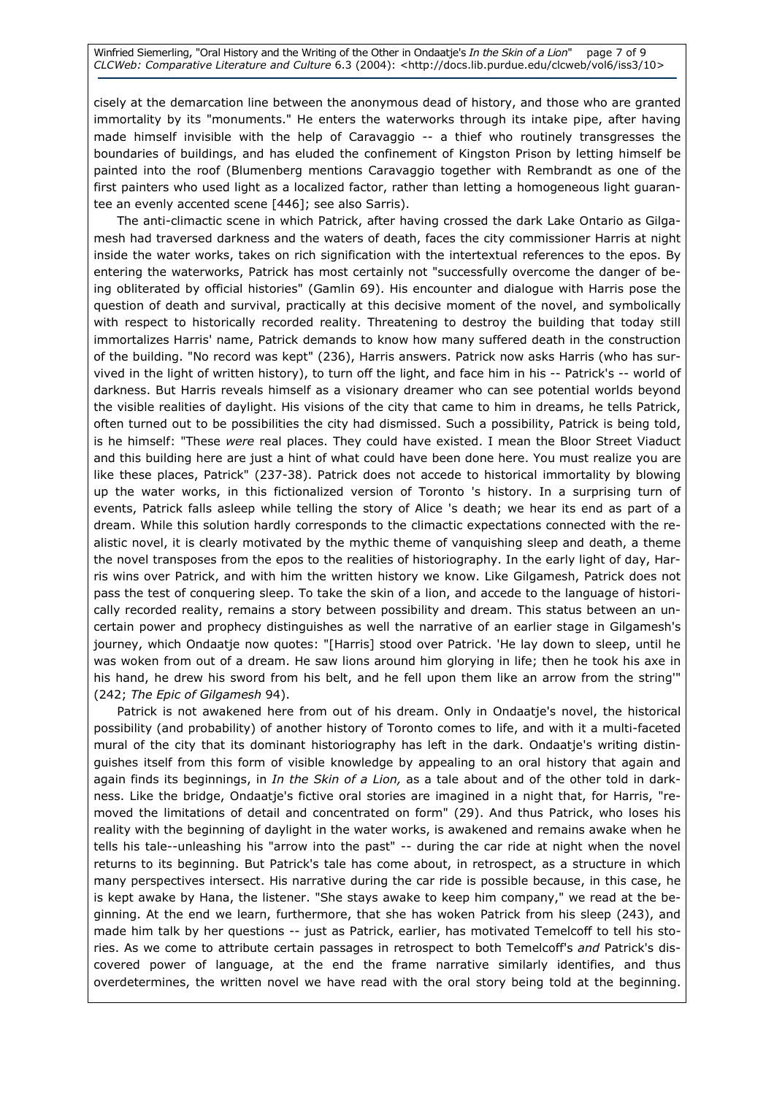Winfried Siemerling, "Oral History and the Writing of the Other in Ondaatje's In the Skin of a Lion" page 7 of 9 CLCWeb: Comparative Literature and Culture 6.3 (2004): <http://docs.lib.purdue.edu/clcweb/vol6/iss3/10>

cisely at the demarcation line between the anonymous dead of history, and those who are granted immortality by its "monuments." He enters the waterworks through its intake pipe, after having made himself invisible with the help of Caravaggio -- a thief who routinely transgresses the boundaries of buildings, and has eluded the confinement of Kingston Prison by letting himself be painted into the roof (Blumenberg mentions Caravaggio together with Rembrandt as one of the first painters who used light as a localized factor, rather than letting a homogeneous light guarantee an evenly accented scene [446]; see also Sarris).

The anti-climactic scene in which Patrick, after having crossed the dark Lake Ontario as Gilgamesh had traversed darkness and the waters of death, faces the city commissioner Harris at night inside the water works, takes on rich signification with the intertextual references to the epos. By entering the waterworks, Patrick has most certainly not "successfully overcome the danger of being obliterated by official histories" (Gamlin 69). His encounter and dialogue with Harris pose the question of death and survival, practically at this decisive moment of the novel, and symbolically with respect to historically recorded reality. Threatening to destroy the building that today still immortalizes Harris' name, Patrick demands to know how many suffered death in the construction of the building. "No record was kept" (236), Harris answers. Patrick now asks Harris (who has survived in the light of written history), to turn off the light, and face him in his -- Patrick's -- world of darkness. But Harris reveals himself as a visionary dreamer who can see potential worlds beyond the visible realities of daylight. His visions of the city that came to him in dreams, he tells Patrick, often turned out to be possibilities the city had dismissed. Such a possibility, Patrick is being told, is he himself: "These were real places. They could have existed. I mean the Bloor Street Viaduct and this building here are just a hint of what could have been done here. You must realize you are like these places, Patrick" (237-38). Patrick does not accede to historical immortality by blowing up the water works, in this fictionalized version of Toronto 's history. In a surprising turn of events, Patrick falls asleep while telling the story of Alice 's death; we hear its end as part of a dream. While this solution hardly corresponds to the climactic expectations connected with the realistic novel, it is clearly motivated by the mythic theme of vanquishing sleep and death, a theme the novel transposes from the epos to the realities of historiography. In the early light of day, Harris wins over Patrick, and with him the written history we know. Like Gilgamesh, Patrick does not pass the test of conquering sleep. To take the skin of a lion, and accede to the language of historically recorded reality, remains a story between possibility and dream. This status between an uncertain power and prophecy distinguishes as well the narrative of an earlier stage in Gilgamesh's journey, which Ondaatje now quotes: "[Harris] stood over Patrick. 'He lay down to sleep, until he was woken from out of a dream. He saw lions around him glorying in life; then he took his axe in his hand, he drew his sword from his belt, and he fell upon them like an arrow from the string" (242; The Epic of Gilgamesh 94).

Patrick is not awakened here from out of his dream. Only in Ondaatje's novel, the historical possibility (and probability) of another history of Toronto comes to life, and with it a multi-faceted mural of the city that its dominant historiography has left in the dark. Ondaatje's writing distinguishes itself from this form of visible knowledge by appealing to an oral history that again and again finds its beginnings, in In the Skin of a Lion, as a tale about and of the other told in darkness. Like the bridge, Ondaatje's fictive oral stories are imagined in a night that, for Harris, "removed the limitations of detail and concentrated on form" (29). And thus Patrick, who loses his reality with the beginning of daylight in the water works, is awakened and remains awake when he tells his tale--unleashing his "arrow into the past" -- during the car ride at night when the novel returns to its beginning. But Patrick's tale has come about, in retrospect, as a structure in which many perspectives intersect. His narrative during the car ride is possible because, in this case, he is kept awake by Hana, the listener. "She stays awake to keep him company," we read at the beginning. At the end we learn, furthermore, that she has woken Patrick from his sleep (243), and made him talk by her questions -- just as Patrick, earlier, has motivated Temelcoff to tell his stories. As we come to attribute certain passages in retrospect to both Temelcoff's and Patrick's discovered power of language, at the end the frame narrative similarly identifies, and thus overdetermines, the written novel we have read with the oral story being told at the beginning.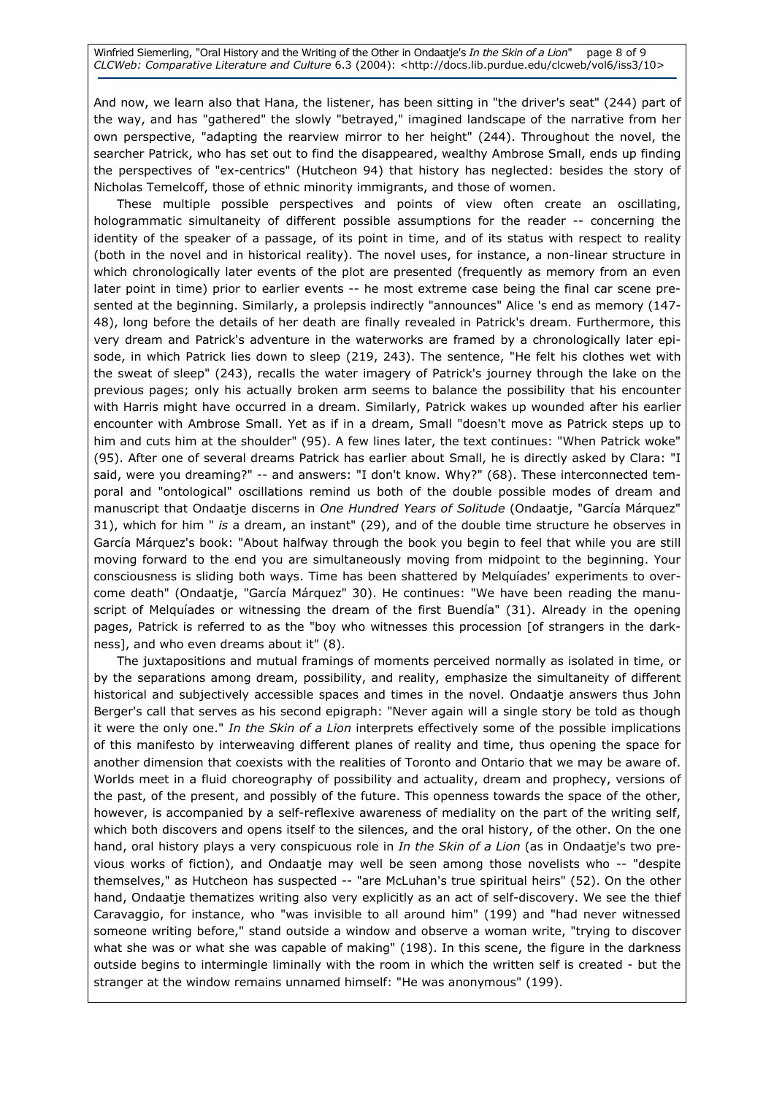Winfried Siemerling, "Oral History and the Writing of the Other in Ondaatje's In the Skin of a Lion" page 8 of 9 CLCWeb: Comparative Literature and Culture 6.3 (2004): <http://docs.lib.purdue.edu/clcweb/vol6/iss3/10>

And now, we learn also that Hana, the listener, has been sitting in "the driver's seat" (244) part of the way, and has "gathered" the slowly "betrayed," imagined landscape of the narrative from her own perspective, "adapting the rearview mirror to her height" (244). Throughout the novel, the searcher Patrick, who has set out to find the disappeared, wealthy Ambrose Small, ends up finding the perspectives of "ex-centrics" (Hutcheon 94) that history has neglected: besides the story of Nicholas Temelcoff, those of ethnic minority immigrants, and those of women.

These multiple possible perspectives and points of view often create an oscillating, hologrammatic simultaneity of different possible assumptions for the reader -- concerning the identity of the speaker of a passage, of its point in time, and of its status with respect to reality (both in the novel and in historical reality). The novel uses, for instance, a non-linear structure in which chronologically later events of the plot are presented (frequently as memory from an even later point in time) prior to earlier events -- he most extreme case being the final car scene presented at the beginning. Similarly, a prolepsis indirectly "announces" Alice 's end as memory (147- 48), long before the details of her death are finally revealed in Patrick's dream. Furthermore, this very dream and Patrick's adventure in the waterworks are framed by a chronologically later episode, in which Patrick lies down to sleep (219, 243). The sentence, "He felt his clothes wet with the sweat of sleep" (243), recalls the water imagery of Patrick's journey through the lake on the previous pages; only his actually broken arm seems to balance the possibility that his encounter with Harris might have occurred in a dream. Similarly, Patrick wakes up wounded after his earlier encounter with Ambrose Small. Yet as if in a dream, Small "doesn't move as Patrick steps up to him and cuts him at the shoulder" (95). A few lines later, the text continues: "When Patrick woke" (95). After one of several dreams Patrick has earlier about Small, he is directly asked by Clara: "I said, were you dreaming?" -- and answers: "I don't know. Why?" (68). These interconnected temporal and "ontological" oscillations remind us both of the double possible modes of dream and manuscript that Ondaatje discerns in One Hundred Years of Solitude (Ondaatje, "García Márquez" 31), which for him " is a dream, an instant" (29), and of the double time structure he observes in García Márquez's book: "About halfway through the book you begin to feel that while you are still moving forward to the end you are simultaneously moving from midpoint to the beginning. Your consciousness is sliding both ways. Time has been shattered by Melquíades' experiments to overcome death" (Ondaatje, "García Márquez" 30). He continues: "We have been reading the manuscript of Melquíades or witnessing the dream of the first Buendía" (31). Already in the opening pages, Patrick is referred to as the "boy who witnesses this procession [of strangers in the darkness], and who even dreams about it" (8).

The juxtapositions and mutual framings of moments perceived normally as isolated in time, or by the separations among dream, possibility, and reality, emphasize the simultaneity of different historical and subjectively accessible spaces and times in the novel. Ondaatje answers thus John Berger's call that serves as his second epigraph: "Never again will a single story be told as though it were the only one." In the Skin of a Lion interprets effectively some of the possible implications of this manifesto by interweaving different planes of reality and time, thus opening the space for another dimension that coexists with the realities of Toronto and Ontario that we may be aware of. Worlds meet in a fluid choreography of possibility and actuality, dream and prophecy, versions of the past, of the present, and possibly of the future. This openness towards the space of the other, however, is accompanied by a self-reflexive awareness of mediality on the part of the writing self, which both discovers and opens itself to the silences, and the oral history, of the other. On the one hand, oral history plays a very conspicuous role in In the Skin of a Lion (as in Ondaatje's two previous works of fiction), and Ondaatje may well be seen among those novelists who -- "despite themselves," as Hutcheon has suspected -- "are McLuhan's true spiritual heirs" (52). On the other hand, Ondaatje thematizes writing also very explicitly as an act of self-discovery. We see the thief Caravaggio, for instance, who "was invisible to all around him" (199) and "had never witnessed someone writing before," stand outside a window and observe a woman write, "trying to discover what she was or what she was capable of making" (198). In this scene, the figure in the darkness outside begins to intermingle liminally with the room in which the written self is created - but the stranger at the window remains unnamed himself: "He was anonymous" (199).